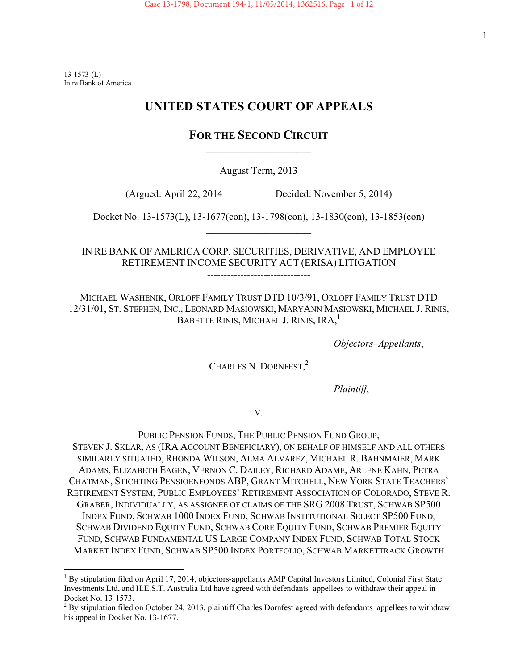$13-1573$ - $(L)$ In re Bank of America

# **UNITED STATES COURT OF APPEALS**

# **FOR THE SECOND CIRCUIT**  $\overline{\phantom{a}}$  , and the set of the set of the set of the set of the set of the set of the set of the set of the set of the set of the set of the set of the set of the set of the set of the set of the set of the set of the s

August Term, 2013

(Argued: April 22, 2014 Decided: November 5, 2014)

Docket No. 13-1573(L), 13-1677(con), 13-1798(con), 13-1830(con), 13-1853(con)  $\overline{\phantom{a}}$  , and the set of the set of the set of the set of the set of the set of the set of the set of the set of the set of the set of the set of the set of the set of the set of the set of the set of the set of the s

IN RE BANK OF AMERICA CORP. SECURITIES, DERIVATIVE, AND EMPLOYEE RETIREMENT INCOME SECURITY ACT (ERISA) LITIGATION

-------------------------------

MICHAEL WASHENIK, ORLOFF FAMILY TRUST DTD 10/3/91, ORLOFF FAMILY TRUST DTD 12/31/01, ST. STEPHEN, INC., LEONARD MASIOWSKI, MARYANN MASIOWSKI, MICHAEL J. RINIS, BABETTE RINIS, MICHAEL J. RINIS, IRA,<sup>1</sup>

 *Objectors–Appellants*,

CHARLES N. DORNFEST,<sup>2</sup>

 *Plaintiff*,

V.

PUBLIC PENSION FUNDS, THE PUBLIC PENSION FUND GROUP, STEVEN J. SKLAR, AS (IRA ACCOUNT BENEFICIARY), ON BEHALF OF HIMSELF AND ALL OTHERS SIMILARLY SITUATED, RHONDA WILSON, ALMA ALVAREZ, MICHAEL R. BAHNMAIER, MARK ADAMS, ELIZABETH EAGEN, VERNON C. DAILEY, RICHARD ADAME, ARLENE KAHN, PETRA CHATMAN, STICHTING PENSIOENFONDS ABP, GRANT MITCHELL, NEW YORK STATE TEACHERS' RETIREMENT SYSTEM, PUBLIC EMPLOYEES' RETIREMENT ASSOCIATION OF COLORADO, STEVE R. GRABER, INDIVIDUALLY, AS ASSIGNEE OF CLAIMS OF THE SRG 2008 TRUST, SCHWAB SP500 INDEX FUND, SCHWAB 1000 INDEX FUND, SCHWAB INSTITUTIONAL SELECT SP500 FUND, SCHWAB DIVIDEND EQUITY FUND, SCHWAB CORE EQUITY FUND, SCHWAB PREMIER EQUITY FUND, SCHWAB FUNDAMENTAL US LARGE COMPANY INDEX FUND, SCHWAB TOTAL STOCK MARKET INDEX FUND, SCHWAB SP500 INDEX PORTFOLIO, SCHWAB MARKETTRACK GROWTH

 $\overline{a}$ <sup>1</sup> By stipulation filed on April 17, 2014, objectors-appellants AMP Capital Investors Limited, Colonial First State Investments Ltd, and H.E.S.T. Australia Ltd have agreed with defendants–appellees to withdraw their appeal in Docket No. 13-1573.

 $2^2$  By stipulation filed on October 24, 2013, plaintiff Charles Dornfest agreed with defendants–appellees to withdraw his appeal in Docket No. 13-1677.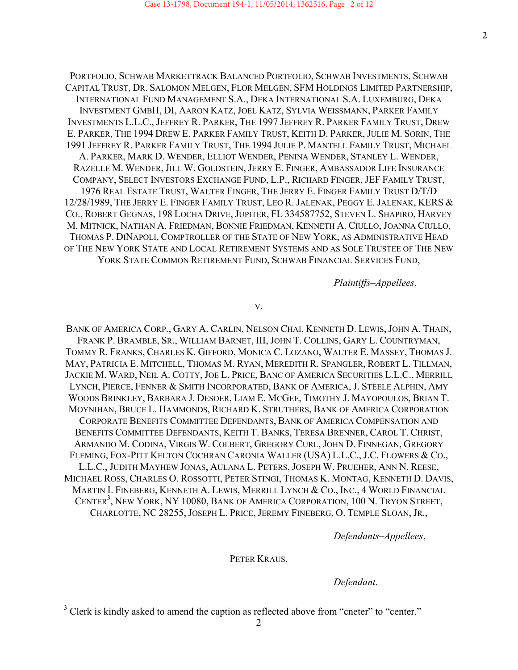PORTFOLIO, SCHWAB MARKETTRACK BALANCED PORTFOLIO, SCHWAB INVESTMENTS, SCHWAB CAPITAL TRUST, DR. SALOMON MELGEN, FLOR MELGEN, SFM HOLDINGS LIMITED PARTNERSHIP, INTERNATIONAL FUND MANAGEMENT S.A., DEKA INTERNATIONAL S.A. LUXEMBURG, DEKA INVESTMENT GMBH, DI, AARON KATZ, JOEL KATZ, SYLVIA WEISSMANN, PARKER FAMILY INVESTMENTS L.L.C., JEFFREY R. PARKER, THE 1997 JEFFREY R. PARKER FAMILY TRUST, DREW E. PARKER, THE 1994 DREW E. PARKER FAMILY TRUST, KEITH D. PARKER, JULIE M. SORIN, THE 1991 JEFFREY R. PARKER FAMILY TRUST, THE 1994 JULIE P. MANTELL FAMILY TRUST, MICHAEL A. PARKER, MARK D. WENDER, ELLIOT WENDER, PENINA WENDER, STANLEY L. WENDER, RAZELLE M. WENDER, JILL W. GOLDSTEIN, JERRY E. FINGER, AMBASSADOR LIFE INSURANCE COMPANY, SELECT INVESTORS EXCHANGE FUND, L.P., RICHARD FINGER, JEF FAMILY TRUST, 1976 REAL ESTATE TRUST, WALTER FINGER, THE JERRY E. FINGER FAMILY TRUST D/T/D 12/28/1989, THE JERRY E. FINGER FAMILY TRUST, LEO R. JALENAK, PEGGY E. JALENAK, KERS & CO., ROBERT GEGNAS, 198 LOCHA DRIVE, JUPITER, FL 334587752, STEVEN L. SHAPIRO, HARVEY M. MITNICK, NATHAN A. FRIEDMAN, BONNIE FRIEDMAN, KENNETH A. CIULLO, JOANNA CIULLO, THOMAS P. DINAPOLI, COMPTROLLER OF THE STATE OF NEW YORK, AS ADMINISTRATIVE HEAD OF THE NEW YORK STATE AND LOCAL RETIREMENT SYSTEMS AND AS SOLE TRUSTEE OF THE NEW YORK STATE COMMON RETIREMENT FUND, SCHWAB FINANCIAL SERVICES FUND,

 *Plaintiffs–Appellees*,

V.

BANK OF AMERICA CORP., GARY A. CARLIN, NELSON CHAI, KENNETH D. LEWIS, JOHN A. THAIN, FRANK P. BRAMBLE, SR., WILLIAM BARNET, III, JOHN T. COLLINS, GARY L. COUNTRYMAN, TOMMY R. FRANKS, CHARLES K. GIFFORD, MONICA C. LOZANO, WALTER E. MASSEY, THOMAS J. MAY, PATRICIA E. MITCHELL, THOMAS M. RYAN, MEREDITH R. SPANGLER, ROBERT L. TILLMAN, JACKIE M. WARD, NEIL A. COTTY, JOE L. PRICE, BANC OF AMERICA SECURITIES L.L.C., MERRILL LYNCH, PIERCE, FENNER & SMITH INCORPORATED, BANK OF AMERICA, J. STEELE ALPHIN, AMY WOODS BRINKLEY, BARBARA J. DESOER, LIAM E. MCGEE, TIMOTHY J. MAYOPOULOS, BRIAN T. MOYNIHAN, BRUCE L. HAMMONDS, RICHARD K. STRUTHERS, BANK OF AMERICA CORPORATION CORPORATE BENEFITS COMMITTEE DEFENDANTS, BANK OF AMERICA COMPENSATION AND BENEFITS COMMITTEE DEFENDANTS, KEITH T. BANKS, TERESA BRENNER, CAROL T. CHRIST, ARMANDO M. CODINA, VIRGIS W. COLBERT, GREGORY CURL, JOHN D. FINNEGAN, GREGORY FLEMING, FOX-PITT KELTON COCHRAN CARONIA WALLER (USA) L.L.C., J.C. FLOWERS & CO., L.L.C., JUDITH MAYHEW JONAS, AULANA L. PETERS, JOSEPH W. PRUEHER, ANN N. REESE, MICHAEL ROSS, CHARLES O. ROSSOTTI, PETER STINGI, THOMAS K. MONTAG, KENNETH D. DAVIS, MARTIN I. FINEBERG, KENNETH A. LEWIS, MERRILL LYNCH & CO., INC., 4 WORLD FINANCIAL CENTER<sup>3</sup>, NEW YORK, NY 10080, BANK OF AMERICA CORPORATION, 100 N. TRYON STREET, CHARLOTTE, NC 28255, JOSEPH L. PRICE, JEREMY FINEBERG, O. TEMPLE SLOAN, JR.,

 *Defendants–Appellees*,

PETER KRAUS,

 *Defendant*.

<sup>&</sup>lt;sup>3</sup> Clerk is kindly asked to amend the caption as reflected above from "cneter" to "center."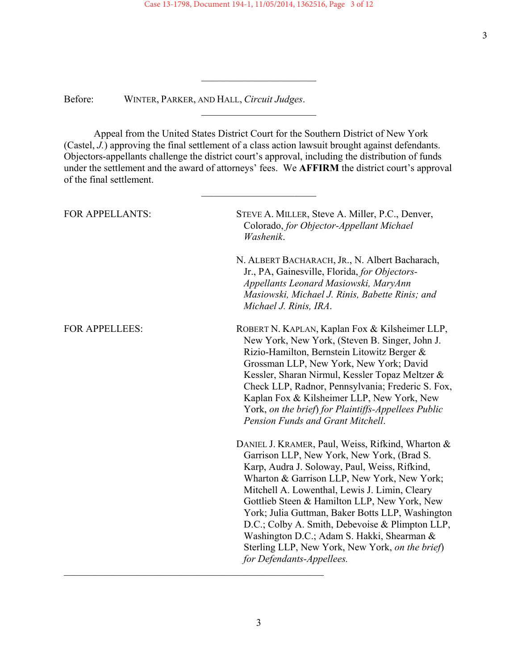*\_\_\_\_\_\_\_\_\_\_\_\_\_\_\_\_\_\_\_\_\_\_\_* 

\_\_\_\_\_\_\_\_\_\_\_\_\_\_\_\_\_\_\_\_\_\_\_

Before: WINTER, PARKER, AND HALL, *Circuit Judges*.

 Appeal from the United States District Court for the Southern District of New York (Castel, *J.*) approving the final settlement of a class action lawsuit brought against defendants. Objectors-appellants challenge the district court's approval, including the distribution of funds under the settlement and the award of attorneys' fees. We **AFFIRM** the district court's approval of the final settlement.

\_\_\_\_\_\_\_\_\_\_\_\_\_\_\_\_\_\_\_\_\_\_\_

| <b>FOR APPELLANTS:</b> | STEVE A. MILLER, Steve A. Miller, P.C., Denver,<br>Colorado, for Objector-Appellant Michael<br>Washenik.                                                                                                                                                                                                                                                                                                                                                                                                                              |
|------------------------|---------------------------------------------------------------------------------------------------------------------------------------------------------------------------------------------------------------------------------------------------------------------------------------------------------------------------------------------------------------------------------------------------------------------------------------------------------------------------------------------------------------------------------------|
|                        | N. ALBERT BACHARACH, JR., N. Albert Bacharach,<br>Jr., PA, Gainesville, Florida, for Objectors-<br>Appellants Leonard Masiowski, MaryAnn<br>Masiowski, Michael J. Rinis, Babette Rinis; and<br>Michael J. Rinis, IRA.                                                                                                                                                                                                                                                                                                                 |
| <b>FOR APPELLEES:</b>  | ROBERT N. KAPLAN, Kaplan Fox & Kilsheimer LLP,<br>New York, New York, (Steven B. Singer, John J.<br>Rizio-Hamilton, Bernstein Litowitz Berger &<br>Grossman LLP, New York, New York; David<br>Kessler, Sharan Nirmul, Kessler Topaz Meltzer &<br>Check LLP, Radnor, Pennsylvania; Frederic S. Fox,<br>Kaplan Fox & Kilsheimer LLP, New York, New<br>York, on the brief) for Plaintiffs-Appellees Public<br>Pension Funds and Grant Mitchell.                                                                                          |
|                        | DANIEL J. KRAMER, Paul, Weiss, Rifkind, Wharton &<br>Garrison LLP, New York, New York, (Brad S.<br>Karp, Audra J. Soloway, Paul, Weiss, Rifkind,<br>Wharton & Garrison LLP, New York, New York;<br>Mitchell A. Lowenthal, Lewis J. Limin, Cleary<br>Gottlieb Steen & Hamilton LLP, New York, New<br>York; Julia Guttman, Baker Botts LLP, Washington<br>D.C.; Colby A. Smith, Debevoise & Plimpton LLP,<br>Washington D.C.; Adam S. Hakki, Shearman &<br>Sterling LLP, New York, New York, on the brief)<br>for Defendants-Appellees. |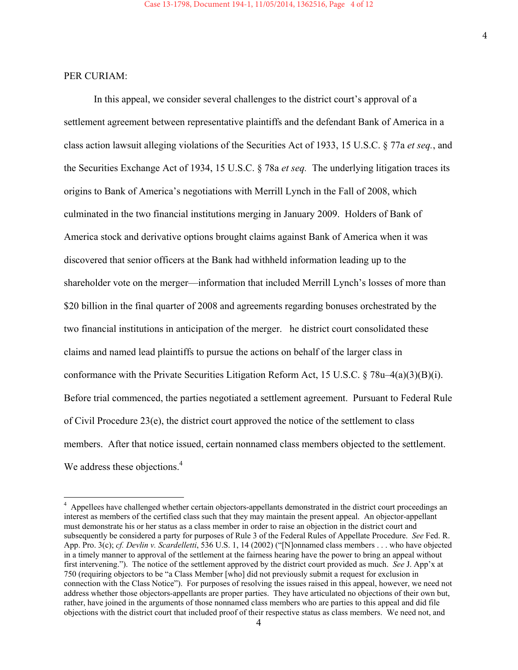### PER CURIAM:

l

In this appeal, we consider several challenges to the district court's approval of a settlement agreement between representative plaintiffs and the defendant Bank of America in a class action lawsuit alleging violations of the Securities Act of 1933, 15 U.S.C. § 77a *et seq.*, and the Securities Exchange Act of 1934, 15 U.S.C. § 78a *et seq.* The underlying litigation traces its origins to Bank of America's negotiations with Merrill Lynch in the Fall of 2008, which culminated in the two financial institutions merging in January 2009. Holders of Bank of America stock and derivative options brought claims against Bank of America when it was discovered that senior officers at the Bank had withheld information leading up to the shareholder vote on the merger—information that included Merrill Lynch's losses of more than \$20 billion in the final quarter of 2008 and agreements regarding bonuses orchestrated by the two financial institutions in anticipation of the merger. he district court consolidated these claims and named lead plaintiffs to pursue the actions on behalf of the larger class in conformance with the Private Securities Litigation Reform Act, 15 U.S.C. § 78u–4(a)(3)(B)(i). Before trial commenced, the parties negotiated a settlement agreement. Pursuant to Federal Rule of Civil Procedure 23(e), the district court approved the notice of the settlement to class members. After that notice issued, certain nonnamed class members objected to the settlement. We address these objections.<sup>4</sup>

<sup>&</sup>lt;sup>4</sup> Appellees have challenged whether certain objectors-appellants demonstrated in the district court proceedings an interest as members of the certified class such that they may maintain the present appeal. An objector-appellant must demonstrate his or her status as a class member in order to raise an objection in the district court and subsequently be considered a party for purposes of Rule 3 of the Federal Rules of Appellate Procedure. *See* Fed. R. App. Pro. 3(c); *cf. Devlin v. Scardelletti*, 536 U.S. 1, 14 (2002) ("[N]onnamed class members . . . who have objected in a timely manner to approval of the settlement at the fairness hearing have the power to bring an appeal without first intervening."). The notice of the settlement approved by the district court provided as much. *See* J. App'x at 750 (requiring objectors to be "a Class Member [who] did not previously submit a request for exclusion in connection with the Class Notice"). For purposes of resolving the issues raised in this appeal, however, we need not address whether those objectors-appellants are proper parties. They have articulated no objections of their own but, rather, have joined in the arguments of those nonnamed class members who are parties to this appeal and did file objections with the district court that included proof of their respective status as class members. We need not, and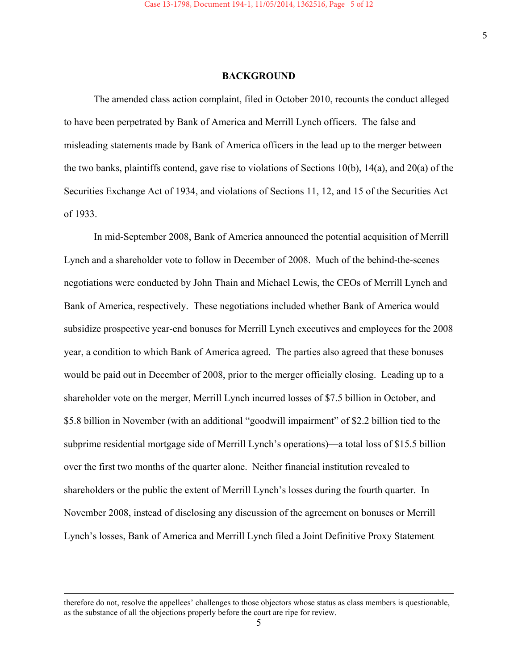#### **BACKGROUND**

The amended class action complaint, filed in October 2010, recounts the conduct alleged to have been perpetrated by Bank of America and Merrill Lynch officers. The false and misleading statements made by Bank of America officers in the lead up to the merger between the two banks, plaintiffs contend, gave rise to violations of Sections 10(b), 14(a), and 20(a) of the Securities Exchange Act of 1934, and violations of Sections 11, 12, and 15 of the Securities Act of 1933.

 In mid-September 2008, Bank of America announced the potential acquisition of Merrill Lynch and a shareholder vote to follow in December of 2008. Much of the behind-the-scenes negotiations were conducted by John Thain and Michael Lewis, the CEOs of Merrill Lynch and Bank of America, respectively. These negotiations included whether Bank of America would subsidize prospective year-end bonuses for Merrill Lynch executives and employees for the 2008 year, a condition to which Bank of America agreed. The parties also agreed that these bonuses would be paid out in December of 2008, prior to the merger officially closing. Leading up to a shareholder vote on the merger, Merrill Lynch incurred losses of \$7.5 billion in October, and \$5.8 billion in November (with an additional "goodwill impairment" of \$2.2 billion tied to the subprime residential mortgage side of Merrill Lynch's operations)—a total loss of \$15.5 billion over the first two months of the quarter alone. Neither financial institution revealed to shareholders or the public the extent of Merrill Lynch's losses during the fourth quarter. In November 2008, instead of disclosing any discussion of the agreement on bonuses or Merrill Lynch's losses, Bank of America and Merrill Lynch filed a Joint Definitive Proxy Statement

therefore do not, resolve the appellees' challenges to those objectors whose status as class members is questionable, as the substance of all the objections properly before the court are ripe for review.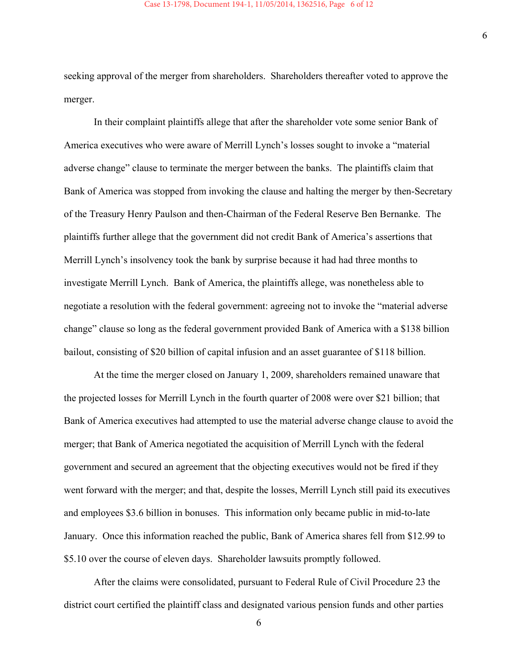seeking approval of the merger from shareholders. Shareholders thereafter voted to approve the merger.

 In their complaint plaintiffs allege that after the shareholder vote some senior Bank of America executives who were aware of Merrill Lynch's losses sought to invoke a "material adverse change" clause to terminate the merger between the banks. The plaintiffs claim that Bank of America was stopped from invoking the clause and halting the merger by then-Secretary of the Treasury Henry Paulson and then-Chairman of the Federal Reserve Ben Bernanke. The plaintiffs further allege that the government did not credit Bank of America's assertions that Merrill Lynch's insolvency took the bank by surprise because it had had three months to investigate Merrill Lynch. Bank of America, the plaintiffs allege, was nonetheless able to negotiate a resolution with the federal government: agreeing not to invoke the "material adverse change" clause so long as the federal government provided Bank of America with a \$138 billion bailout, consisting of \$20 billion of capital infusion and an asset guarantee of \$118 billion.

 At the time the merger closed on January 1, 2009, shareholders remained unaware that the projected losses for Merrill Lynch in the fourth quarter of 2008 were over \$21 billion; that Bank of America executives had attempted to use the material adverse change clause to avoid the merger; that Bank of America negotiated the acquisition of Merrill Lynch with the federal government and secured an agreement that the objecting executives would not be fired if they went forward with the merger; and that, despite the losses, Merrill Lynch still paid its executives and employees \$3.6 billion in bonuses. This information only became public in mid-to-late January. Once this information reached the public, Bank of America shares fell from \$12.99 to \$5.10 over the course of eleven days. Shareholder lawsuits promptly followed.

 After the claims were consolidated, pursuant to Federal Rule of Civil Procedure 23 the district court certified the plaintiff class and designated various pension funds and other parties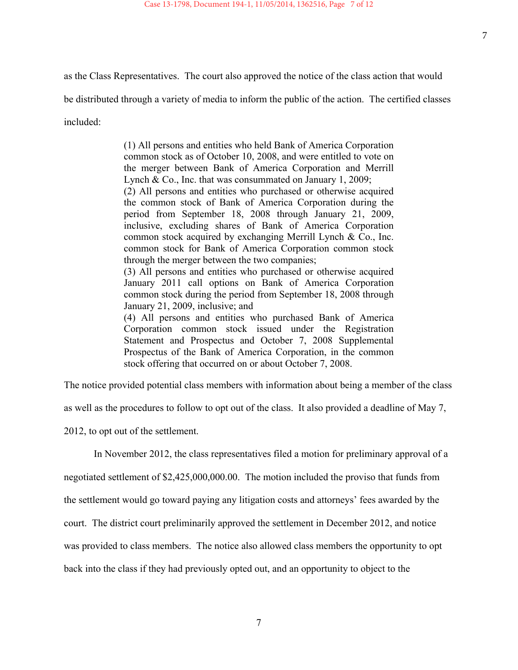as the Class Representatives. The court also approved the notice of the class action that would

be distributed through a variety of media to inform the public of the action. The certified classes

included:

(1) All persons and entities who held Bank of America Corporation common stock as of October 10, 2008, and were entitled to vote on the merger between Bank of America Corporation and Merrill Lynch & Co., Inc. that was consummated on January 1, 2009;

(2) All persons and entities who purchased or otherwise acquired the common stock of Bank of America Corporation during the period from September 18, 2008 through January 21, 2009, inclusive, excluding shares of Bank of America Corporation common stock acquired by exchanging Merrill Lynch & Co., Inc. common stock for Bank of America Corporation common stock through the merger between the two companies;

(3) All persons and entities who purchased or otherwise acquired January 2011 call options on Bank of America Corporation common stock during the period from September 18, 2008 through January 21, 2009, inclusive; and

(4) All persons and entities who purchased Bank of America Corporation common stock issued under the Registration Statement and Prospectus and October 7, 2008 Supplemental Prospectus of the Bank of America Corporation, in the common stock offering that occurred on or about October 7, 2008.

The notice provided potential class members with information about being a member of the class

as well as the procedures to follow to opt out of the class. It also provided a deadline of May 7,

2012, to opt out of the settlement.

In November 2012, the class representatives filed a motion for preliminary approval of a

negotiated settlement of \$2,425,000,000.00. The motion included the proviso that funds from

the settlement would go toward paying any litigation costs and attorneys' fees awarded by the

court. The district court preliminarily approved the settlement in December 2012, and notice

was provided to class members. The notice also allowed class members the opportunity to opt

back into the class if they had previously opted out, and an opportunity to object to the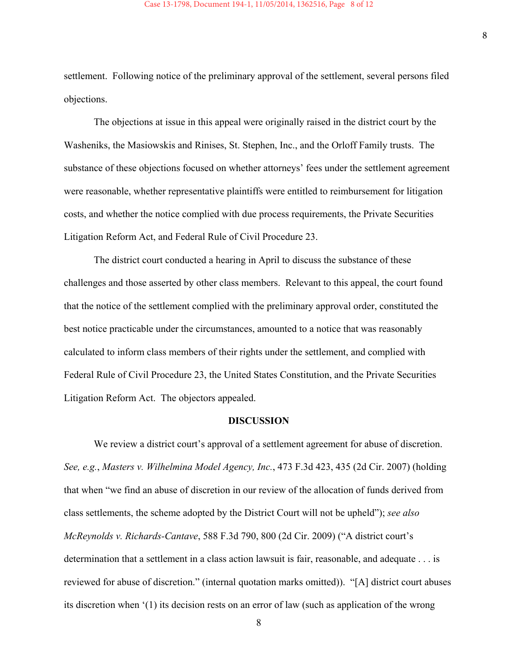settlement. Following notice of the preliminary approval of the settlement, several persons filed objections.

 The objections at issue in this appeal were originally raised in the district court by the Washeniks, the Masiowskis and Rinises, St. Stephen, Inc., and the Orloff Family trusts. The substance of these objections focused on whether attorneys' fees under the settlement agreement were reasonable, whether representative plaintiffs were entitled to reimbursement for litigation costs, and whether the notice complied with due process requirements, the Private Securities Litigation Reform Act, and Federal Rule of Civil Procedure 23.

 The district court conducted a hearing in April to discuss the substance of these challenges and those asserted by other class members. Relevant to this appeal, the court found that the notice of the settlement complied with the preliminary approval order, constituted the best notice practicable under the circumstances, amounted to a notice that was reasonably calculated to inform class members of their rights under the settlement, and complied with Federal Rule of Civil Procedure 23, the United States Constitution, and the Private Securities Litigation Reform Act. The objectors appealed.

#### **DISCUSSION**

We review a district court's approval of a settlement agreement for abuse of discretion. *See, e.g.*, *Masters v. Wilhelmina Model Agency, Inc.*, 473 F.3d 423, 435 (2d Cir. 2007) (holding that when "we find an abuse of discretion in our review of the allocation of funds derived from class settlements, the scheme adopted by the District Court will not be upheld"); *see also McReynolds v. Richards-Cantave*, 588 F.3d 790, 800 (2d Cir. 2009) ("A district court's determination that a settlement in a class action lawsuit is fair, reasonable, and adequate . . . is reviewed for abuse of discretion." (internal quotation marks omitted)). "[A] district court abuses its discretion when '(1) its decision rests on an error of law (such as application of the wrong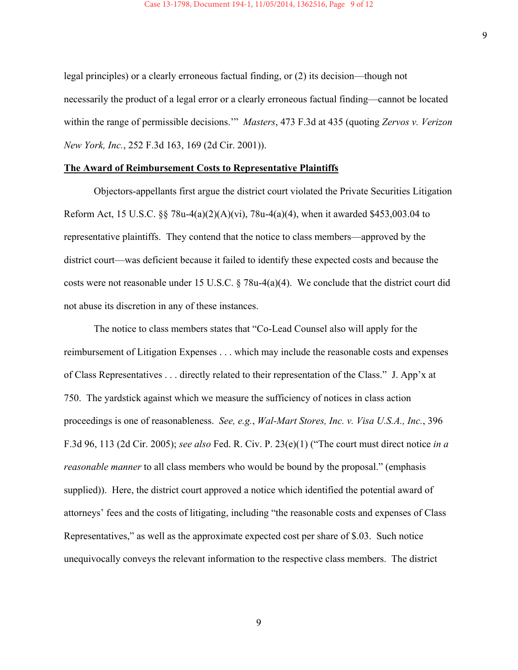legal principles) or a clearly erroneous factual finding, or (2) its decision—though not necessarily the product of a legal error or a clearly erroneous factual finding—cannot be located within the range of permissible decisions.'" *Masters*, 473 F.3d at 435 (quoting *Zervos v. Verizon New York, Inc.*, 252 F.3d 163, 169 (2d Cir. 2001)).

#### **The Award of Reimbursement Costs to Representative Plaintiffs**

 Objectors-appellants first argue the district court violated the Private Securities Litigation Reform Act, 15 U.S.C. §§ 78u-4(a)(2)(A)(vi), 78u-4(a)(4), when it awarded \$453,003.04 to representative plaintiffs. They contend that the notice to class members—approved by the district court—was deficient because it failed to identify these expected costs and because the costs were not reasonable under 15 U.S.C. § 78u-4(a)(4). We conclude that the district court did not abuse its discretion in any of these instances.

 The notice to class members states that "Co-Lead Counsel also will apply for the reimbursement of Litigation Expenses . . . which may include the reasonable costs and expenses of Class Representatives . . . directly related to their representation of the Class." J. App'x at 750. The yardstick against which we measure the sufficiency of notices in class action proceedings is one of reasonableness. *See, e.g.*, *Wal-Mart Stores, Inc. v. Visa U.S.A., Inc.*, 396 F.3d 96, 113 (2d Cir. 2005); *see also* Fed. R. Civ. P. 23(e)(1) ("The court must direct notice *in a reasonable manner* to all class members who would be bound by the proposal." (emphasis supplied)). Here, the district court approved a notice which identified the potential award of attorneys' fees and the costs of litigating, including "the reasonable costs and expenses of Class Representatives," as well as the approximate expected cost per share of \$.03. Such notice unequivocally conveys the relevant information to the respective class members. The district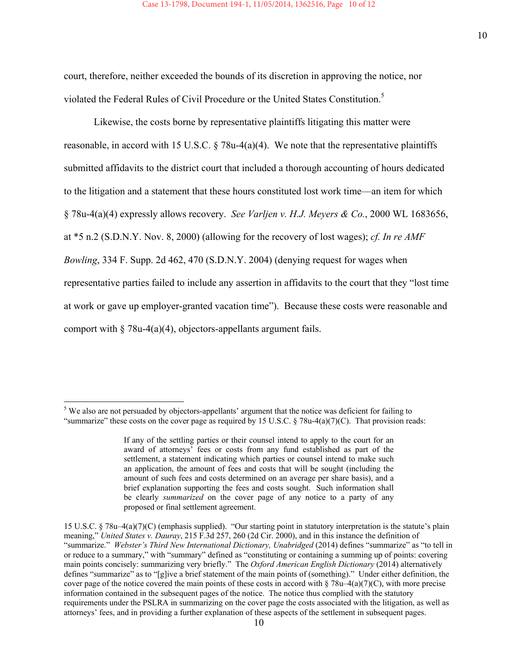court, therefore, neither exceeded the bounds of its discretion in approving the notice, nor violated the Federal Rules of Civil Procedure or the United States Constitution.<sup>5</sup>

 Likewise, the costs borne by representative plaintiffs litigating this matter were reasonable, in accord with 15 U.S.C.  $\S$  78u-4(a)(4). We note that the representative plaintiffs submitted affidavits to the district court that included a thorough accounting of hours dedicated to the litigation and a statement that these hours constituted lost work time—an item for which § 78u-4(a)(4) expressly allows recovery. *See Varljen v. H.J. Meyers & Co.*, 2000 WL 1683656, at \*5 n.2 (S.D.N.Y. Nov. 8, 2000) (allowing for the recovery of lost wages); *cf. In re AMF Bowling*, 334 F. Supp. 2d 462, 470 (S.D.N.Y. 2004) (denying request for wages when representative parties failed to include any assertion in affidavits to the court that they "lost time at work or gave up employer-granted vacation time"). Because these costs were reasonable and comport with  $\S 78u-4(a)(4)$ , objectors-appellants argument fails.

l <sup>5</sup> We also are not persuaded by objectors-appellants' argument that the notice was deficient for failing to "summarize" these costs on the cover page as required by 15 U.S.C.  $\S$  78u-4(a)(7)(C). That provision reads:

If any of the settling parties or their counsel intend to apply to the court for an award of attorneys' fees or costs from any fund established as part of the settlement, a statement indicating which parties or counsel intend to make such an application, the amount of fees and costs that will be sought (including the amount of such fees and costs determined on an average per share basis), and a brief explanation supporting the fees and costs sought. Such information shall be clearly *summarized* on the cover page of any notice to a party of any proposed or final settlement agreement.

<sup>15</sup> U.S.C. § 78u–4(a)(7)(C) (emphasis supplied). "Our starting point in statutory interpretation is the statute's plain meaning," *United States v. Dauray*, 215 F.3d 257, 260 (2d Cir. 2000), and in this instance the definition of "summarize." *Webster's Third New International Dictionary, Unabridged* (2014) defines "summarize" as "to tell in or reduce to a summary," with "summary" defined as "constituting or containing a summing up of points: covering main points concisely: summarizing very briefly." The *Oxford American English Dictionary* (2014) alternatively defines "summarize" as to "[g]ive a brief statement of the main points of (something)." Under either definition, the cover page of the notice covered the main points of these costs in accord with  $\S 78u-4(a)(7)(C)$ , with more precise information contained in the subsequent pages of the notice. The notice thus complied with the statutory requirements under the PSLRA in summarizing on the cover page the costs associated with the litigation, as well as attorneys' fees, and in providing a further explanation of these aspects of the settlement in subsequent pages.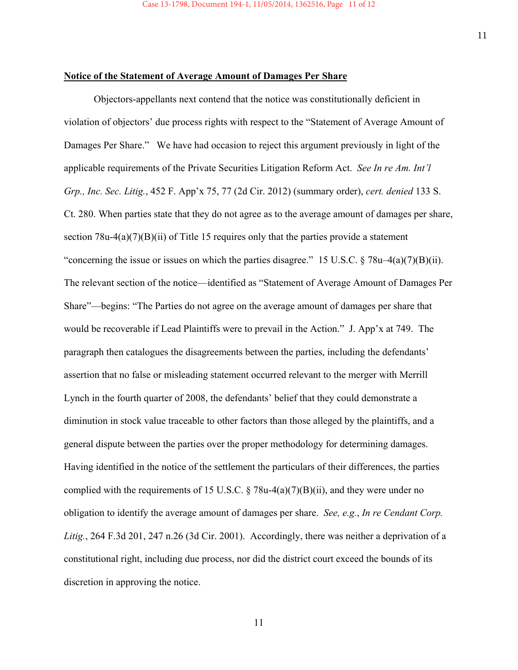#### **Notice of the Statement of Average Amount of Damages Per Share**

 Objectors-appellants next contend that the notice was constitutionally deficient in violation of objectors' due process rights with respect to the "Statement of Average Amount of Damages Per Share." We have had occasion to reject this argument previously in light of the applicable requirements of the Private Securities Litigation Reform Act. *See In re Am. Int'l Grp., Inc. Sec. Litig.*, 452 F. App'x 75, 77 (2d Cir. 2012) (summary order), *cert. denied* 133 S. Ct. 280. When parties state that they do not agree as to the average amount of damages per share, section  $78u-4(a)(7)(B)(ii)$  of Title 15 requires only that the parties provide a statement "concerning the issue or issues on which the parties disagree." 15 U.S.C.  $\S 78u-4(a)(7)(B)(ii)$ . The relevant section of the notice—identified as "Statement of Average Amount of Damages Per Share"—begins: "The Parties do not agree on the average amount of damages per share that would be recoverable if Lead Plaintiffs were to prevail in the Action." J. App'x at 749. The paragraph then catalogues the disagreements between the parties, including the defendants' assertion that no false or misleading statement occurred relevant to the merger with Merrill Lynch in the fourth quarter of 2008, the defendants' belief that they could demonstrate a diminution in stock value traceable to other factors than those alleged by the plaintiffs, and a general dispute between the parties over the proper methodology for determining damages. Having identified in the notice of the settlement the particulars of their differences, the parties complied with the requirements of 15 U.S.C.  $\S$  78u-4(a)(7)(B)(ii), and they were under no obligation to identify the average amount of damages per share. *See, e.g.*, *In re Cendant Corp. Litig.*, 264 F.3d 201, 247 n.26 (3d Cir. 2001). Accordingly, there was neither a deprivation of a constitutional right, including due process, nor did the district court exceed the bounds of its discretion in approving the notice.